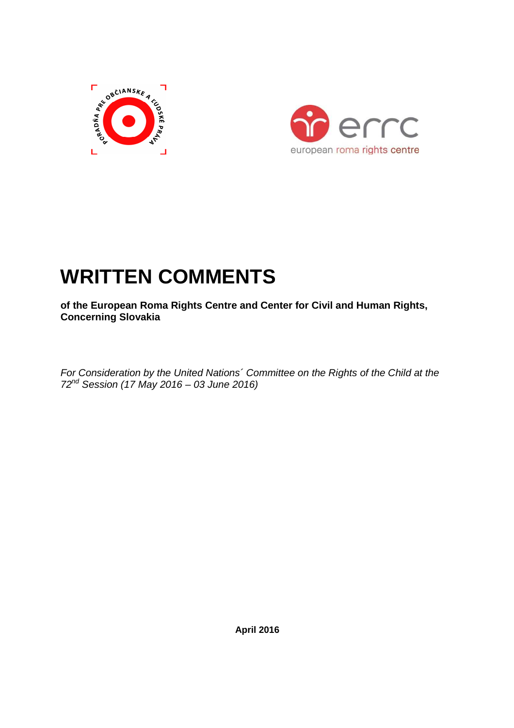



# **WRITTEN COMMENTS**

**of the European Roma Rights Centre and Center for Civil and Human Rights, Concerning Slovakia** 

For Consideration by the United Nations´ Committee on the Rights of the Child at the  $72^{nd}$  Session (17 May 2016 – 03 June 2016)

 **April 2016**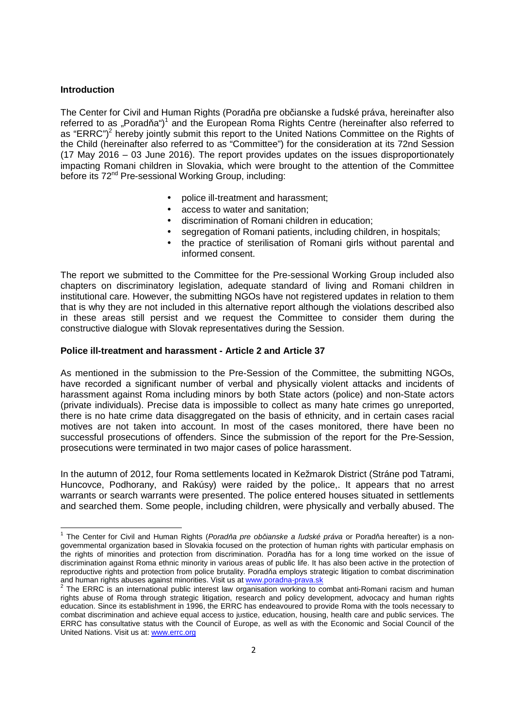#### **Introduction**

 $\overline{a}$ 

The Center for Civil and Human Rights (Poradňa pre občianske a ľudské práva, hereinafter also referred to as "Poradňa") $1$  and the European Roma Rights Centre (hereinafter also referred to as "ERRC")<sup>2</sup> hereby jointly submit this report to the United Nations Committee on the Rights of the Child (hereinafter also referred to as "Committee") for the consideration at its 72nd Session (17 May 2016 – 03 June 2016). The report provides updates on the issues disproportionately impacting Romani children in Slovakia, which were brought to the attention of the Committee before its 72<sup>nd</sup> Pre-sessional Working Group, including:

- police ill-treatment and harassment;
- access to water and sanitation;
- discrimination of Romani children in education;
- segregation of Romani patients, including children, in hospitals;
- the practice of sterilisation of Romani girls without parental and informed consent.

The report we submitted to the Committee for the Pre-sessional Working Group included also chapters on discriminatory legislation, adequate standard of living and Romani children in institutional care. However, the submitting NGOs have not registered updates in relation to them that is why they are not included in this alternative report although the violations described also in these areas still persist and we request the Committee to consider them during the constructive dialogue with Slovak representatives during the Session.

#### **Police ill-treatment and harassment - Article 2 and Article 37**

As mentioned in the submission to the Pre-Session of the Committee, the submitting NGOs, have recorded a significant number of verbal and physically violent attacks and incidents of harassment against Roma including minors by both State actors (police) and non-State actors (private individuals). Precise data is impossible to collect as many hate crimes go unreported, there is no hate crime data disaggregated on the basis of ethnicity, and in certain cases racial motives are not taken into account. In most of the cases monitored, there have been no successful prosecutions of offenders. Since the submission of the report for the Pre-Session, prosecutions were terminated in two major cases of police harassment.

In the autumn of 2012, four Roma settlements located in Kežmarok District (Stráne pod Tatrami, Huncovce, Podhorany, and Rakúsy) were raided by the police,. It appears that no arrest warrants or search warrants were presented. The police entered houses situated in settlements and searched them. Some people, including children, were physically and verbally abused. The

<sup>1</sup> The Center for Civil and Human Rights (Porad*ň*a pre ob*č*ianske a *ľ*udské práva or Poradňa hereafter) is a nongovernmental organization based in Slovakia focused on the protection of human rights with particular emphasis on the rights of minorities and protection from discrimination. Poradňa has for a long time worked on the issue of discrimination against Roma ethnic minority in various areas of public life. It has also been active in the protection of reproductive rights and protection from police brutality. Poradňa employs strategic litigation to combat discrimination and human rights abuses against minorities. Visit us at <u>www.poradna-prava.sk</u><br><sup>2</sup> The ERRC is an international public interest law organisation working to combat anti-Romani racism and human

rights abuse of Roma through strategic litigation, research and policy development, advocacy and human rights education. Since its establishment in 1996, the ERRC has endeavoured to provide Roma with the tools necessary to combat discrimination and achieve equal access to justice, education, housing, health care and public services. The ERRC has consultative status with the Council of Europe, as well as with the Economic and Social Council of the United Nations. Visit us at: www.errc.org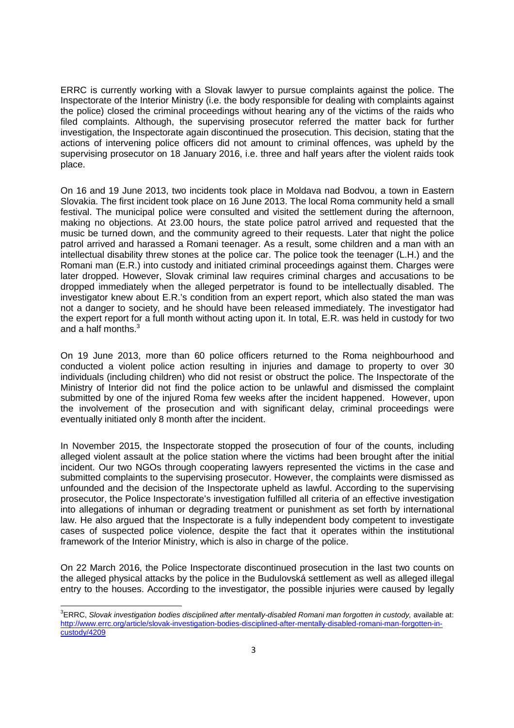ERRC is currently working with a Slovak lawyer to pursue complaints against the police. The Inspectorate of the Interior Ministry (i.e. the body responsible for dealing with complaints against the police) closed the criminal proceedings without hearing any of the victims of the raids who filed complaints. Although, the supervising prosecutor referred the matter back for further investigation, the Inspectorate again discontinued the prosecution. This decision, stating that the actions of intervening police officers did not amount to criminal offences, was upheld by the supervising prosecutor on 18 January 2016, i.e. three and half years after the violent raids took place.

On 16 and 19 June 2013, two incidents took place in Moldava nad Bodvou, a town in Eastern Slovakia. The first incident took place on 16 June 2013. The local Roma community held a small festival. The municipal police were consulted and visited the settlement during the afternoon, making no objections. At 23.00 hours, the state police patrol arrived and requested that the music be turned down, and the community agreed to their requests. Later that night the police patrol arrived and harassed a Romani teenager. As a result, some children and a man with an intellectual disability threw stones at the police car. The police took the teenager (L.H.) and the Romani man (E.R.) into custody and initiated criminal proceedings against them. Charges were later dropped. However, Slovak criminal law requires criminal charges and accusations to be dropped immediately when the alleged perpetrator is found to be intellectually disabled. The investigator knew about E.R.'s condition from an expert report, which also stated the man was not a danger to society, and he should have been released immediately. The investigator had the expert report for a full month without acting upon it. In total, E.R. was held in custody for two and a half months.<sup>3</sup>

On 19 June 2013, more than 60 police officers returned to the Roma neighbourhood and conducted a violent police action resulting in injuries and damage to property to over 30 individuals (including children) who did not resist or obstruct the police. The Inspectorate of the Ministry of Interior did not find the police action to be unlawful and dismissed the complaint submitted by one of the injured Roma few weeks after the incident happened. However, upon the involvement of the prosecution and with significant delay, criminal proceedings were eventually initiated only 8 month after the incident.

In November 2015, the Inspectorate stopped the prosecution of four of the counts, including alleged violent assault at the police station where the victims had been brought after the initial incident. Our two NGOs through cooperating lawyers represented the victims in the case and submitted complaints to the supervising prosecutor. However, the complaints were dismissed as unfounded and the decision of the Inspectorate upheld as lawful. According to the supervising prosecutor, the Police Inspectorate's investigation fulfilled all criteria of an effective investigation into allegations of inhuman or degrading treatment or punishment as set forth by international law. He also argued that the Inspectorate is a fully independent body competent to investigate cases of suspected police violence, despite the fact that it operates within the institutional framework of the Interior Ministry, which is also in charge of the police.

On 22 March 2016, the Police Inspectorate discontinued prosecution in the last two counts on the alleged physical attacks by the police in the Budulovská settlement as well as alleged illegal entry to the houses. According to the investigator, the possible injuries were caused by legally

 $^3$ ERRC, Slovak investigation bodies disciplined after mentally-disabled Romani man forgotten in custody, available at: http://www.errc.org/article/slovak-investigation-bodies-disciplined-after-mentally-disabled-romani-man-forgotten-incustody/4209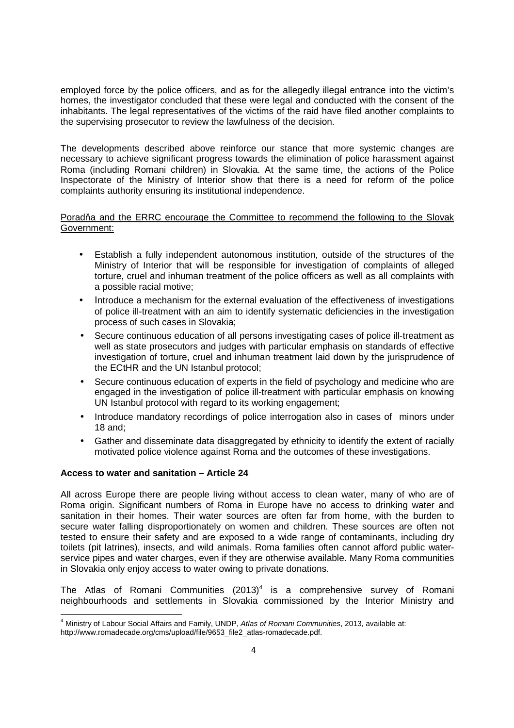employed force by the police officers, and as for the allegedly illegal entrance into the victim's homes, the investigator concluded that these were legal and conducted with the consent of the inhabitants. The legal representatives of the victims of the raid have filed another complaints to the supervising prosecutor to review the lawfulness of the decision.

The developments described above reinforce our stance that more systemic changes are necessary to achieve significant progress towards the elimination of police harassment against Roma (including Romani children) in Slovakia. At the same time, the actions of the Police Inspectorate of the Ministry of Interior show that there is a need for reform of the police complaints authority ensuring its institutional independence.

# Poradňa and the ERRC encourage the Committee to recommend the following to the Slovak Government:

- Establish a fully independent autonomous institution, outside of the structures of the Ministry of Interior that will be responsible for investigation of complaints of alleged torture, cruel and inhuman treatment of the police officers as well as all complaints with a possible racial motive;
- Introduce a mechanism for the external evaluation of the effectiveness of investigations of police ill-treatment with an aim to identify systematic deficiencies in the investigation process of such cases in Slovakia;
- Secure continuous education of all persons investigating cases of police ill-treatment as well as state prosecutors and judges with particular emphasis on standards of effective investigation of torture, cruel and inhuman treatment laid down by the jurisprudence of the ECtHR and the UN Istanbul protocol;
- Secure continuous education of experts in the field of psychology and medicine who are engaged in the investigation of police ill-treatment with particular emphasis on knowing UN Istanbul protocol with regard to its working engagement;
- Introduce mandatory recordings of police interrogation also in cases of minors under 18 and;
- Gather and disseminate data disaggregated by ethnicity to identify the extent of racially motivated police violence against Roma and the outcomes of these investigations.

## **Access to water and sanitation – Article 24**

 $\overline{a}$ 

All across Europe there are people living without access to clean water, many of who are of Roma origin. Significant numbers of Roma in Europe have no access to drinking water and sanitation in their homes. Their water sources are often far from home, with the burden to secure water falling disproportionately on women and children. These sources are often not tested to ensure their safety and are exposed to a wide range of contaminants, including dry toilets (pit latrines), insects, and wild animals. Roma families often cannot afford public waterservice pipes and water charges, even if they are otherwise available. Many Roma communities in Slovakia only enjoy access to water owing to private donations.

The Atlas of Romani Communities  $(2013)^4$  is a comprehensive survey of Romani neighbourhoods and settlements in Slovakia commissioned by the Interior Ministry and

<sup>&</sup>lt;sup>4</sup> Ministry of Labour Social Affairs and Family, UNDP, Atlas of Romani Communities, 2013, available at:

http://www.romadecade.org/cms/upload/file/9653\_file2\_atlas-romadecade.pdf.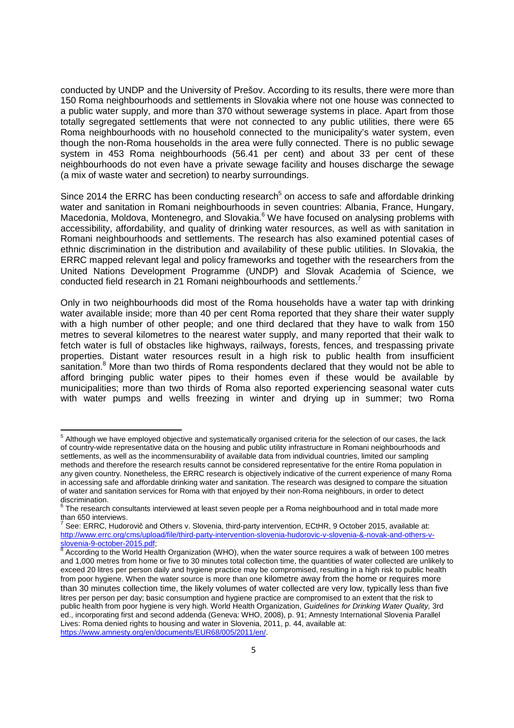conducted by UNDP and the University of Prešov. According to its results, there were more than 150 Roma neighbourhoods and settlements in Slovakia where not one house was connected to a public water supply, and more than 370 without sewerage systems in place. Apart from those totally segregated settlements that were not connected to any public utilities, there were 65 Roma neighbourhoods with no household connected to the municipality's water system, even though the non-Roma households in the area were fully connected. There is no public sewage system in 453 Roma neighbourhoods (56.41 per cent) and about 33 per cent of these neighbourhoods do not even have a private sewage facility and houses discharge the sewage (a mix of waste water and secretion) to nearby surroundings.

Since 2014 the ERRC has been conducting research<sup>5</sup> on access to safe and affordable drinking water and sanitation in Romani neighbourhoods in seven countries: Albania, France, Hungary, Macedonia, Moldova, Montenegro, and Slovakia.<sup>6</sup> We have focused on analysing problems with accessibility, affordability, and quality of drinking water resources, as well as with sanitation in Romani neighbourhoods and settlements. The research has also examined potential cases of ethnic discrimination in the distribution and availability of these public utilities. In Slovakia, the ERRC mapped relevant legal and policy frameworks and together with the researchers from the United Nations Development Programme (UNDP) and Slovak Academia of Science, we conducted field research in 21 Romani neighbourhoods and settlements.<sup>7</sup>

Only in two neighbourhoods did most of the Roma households have a water tap with drinking water available inside; more than 40 per cent Roma reported that they share their water supply with a high number of other people; and one third declared that they have to walk from 150 metres to several kilometres to the nearest water supply, and many reported that their walk to fetch water is full of obstacles like highways, railways, forests, fences, and trespassing private properties. Distant water resources result in a high risk to public health from insufficient sanitation.<sup>8</sup> More than two thirds of Roma respondents declared that they would not be able to afford bringing public water pipes to their homes even if these would be available by municipalities; more than two thirds of Roma also reported experiencing seasonal water cuts with water pumps and wells freezing in winter and drying up in summer; two Roma

<sup>&</sup>lt;sup>5</sup> Although we have employed objective and systematically organised criteria for the selection of our cases, the lack of country-wide representative data on the housing and public utility infrastructure in Romani neighbourhoods and settlements, as well as the incommensurability of available data from individual countries, limited our sampling methods and therefore the research results cannot be considered representative for the entire Roma population in any given country. Nonetheless, the ERRC research is objectively indicative of the current experience of many Roma in accessing safe and affordable drinking water and sanitation. The research was designed to compare the situation of water and sanitation services for Roma with that enjoyed by their non-Roma neighbours, in order to detect discrimination.

 $^6$  The research consultants interviewed at least seven people per a Roma neighbourhood and in total made more than 650 interviews.

 $^7$  See: ERRC, Hudorovič and Others v. Slovenia, third-party intervention, ECtHR, 9 October 2015, available at: http://www.errc.org/cms/upload/file/third-party-intervention-slovenia-hudorovic-v-slovenia-&-novak-and-others-vslovenia-9-october-2015.pdf;

<sup>&</sup>lt;sup>8</sup> According to the World Health Organization (WHO), when the water source requires a walk of between 100 metres and 1,000 metres from home or five to 30 minutes total collection time, the quantities of water collected are unlikely to exceed 20 litres per person daily and hygiene practice may be compromised, resulting in a high risk to public health from poor hygiene. When the water source is more than one kilometre away from the home or requires more than 30 minutes collection time, the likely volumes of water collected are very low, typically less than five litres per person per day; basic consumption and hygiene practice are compromised to an extent that the risk to public health from poor hygiene is very high. World Health Organization, Guidelines for Drinking Water Quality, 3rd ed., incorporating first and second addenda (Geneva: WHO, 2008), p. 91; Amnesty International Slovenia Parallel Lives: Roma denied rights to housing and water in Slovenia, 2011, p. 44, available at: https://www.amnesty.org/en/documents/EUR68/005/2011/en/.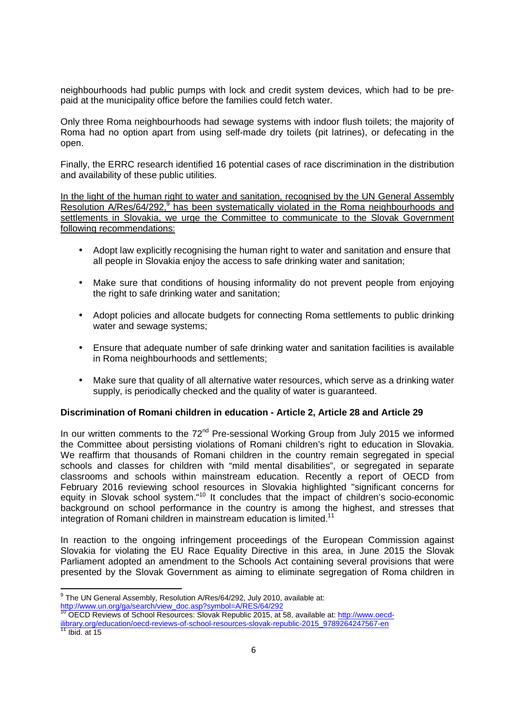neighbourhoods had public pumps with lock and credit system devices, which had to be prepaid at the municipality office before the families could fetch water.

Only three Roma neighbourhoods had sewage systems with indoor flush toilets; the majority of Roma had no option apart from using self-made dry toilets (pit latrines), or defecating in the open.

Finally, the ERRC research identified 16 potential cases of race discrimination in the distribution and availability of these public utilities.

In the light of the human right to water and sanitation, recognised by the UN General Assembly Resolution A/Res/64/292,<sup>9</sup> has been systematically violated in the Roma neighbourhoods and settlements in Slovakia, we urge the Committee to communicate to the Slovak Government following recommendations:

- Adopt law explicitly recognising the human right to water and sanitation and ensure that all people in Slovakia enjoy the access to safe drinking water and sanitation;
- Make sure that conditions of housing informality do not prevent people from enjoying the right to safe drinking water and sanitation;
- Adopt policies and allocate budgets for connecting Roma settlements to public drinking water and sewage systems;
- Ensure that adequate number of safe drinking water and sanitation facilities is available in Roma neighbourhoods and settlements;
- Make sure that quality of all alternative water resources, which serve as a drinking water supply, is periodically checked and the quality of water is guaranteed.

## **Discrimination of Romani children in education - Article 2, Article 28 and Article 29**

In our written comments to the 72<sup>nd</sup> Pre-sessional Working Group from July 2015 we informed the Committee about persisting violations of Romani children's right to education in Slovakia. We reaffirm that thousands of Romani children in the country remain segregated in special schools and classes for children with "mild mental disabilities", or segregated in separate classrooms and schools within mainstream education. Recently a report of OECD from February 2016 reviewing school resources in Slovakia highlighted "significant concerns for equity in Slovak school system."<sup>10</sup> It concludes that the impact of children's socio-economic background on school performance in the country is among the highest, and stresses that integration of Romani children in mainstream education is limited.<sup>11</sup>

In reaction to the ongoing infringement proceedings of the European Commission against Slovakia for violating the EU Race Equality Directive in this area, in June 2015 the Slovak Parliament adopted an amendment to the Schools Act containing several provisions that were presented by the Slovak Government as aiming to eliminate segregation of Roma children in

<sup>&</sup>lt;sup>9</sup> The UN General Assembly, Resolution A/Res/64/292, July 2010, available at:

<sup>&</sup>lt;u>http://www.un.org/ga/search/view\_doc.asp?symbol=A/RES/64/292</u><br><sup>10</sup> OECD Reviews of School Resources: Slovak Republic 2015, at 58, available at: <u>http://www.oecd-</u> ilibrary.org/education/oecd-reviews-of-school-resources-slovak-republic-2015\_9789264247567-en

 $11$  Ibid. at 15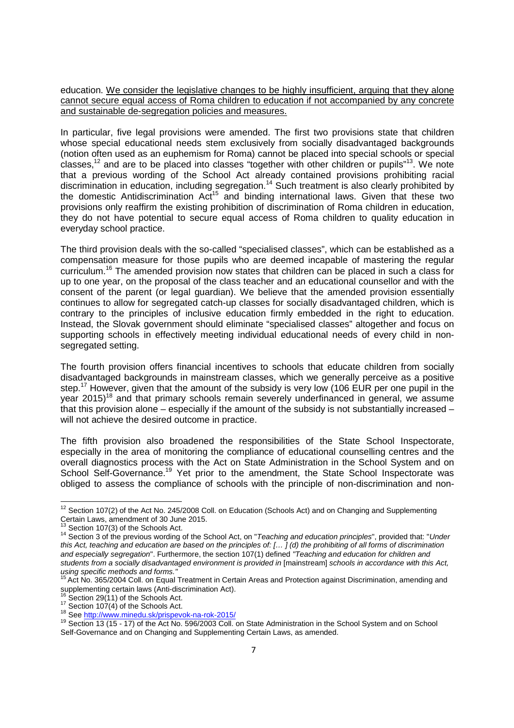education. We consider the legislative changes to be highly insufficient, arguing that they alone cannot secure equal access of Roma children to education if not accompanied by any concrete and sustainable de-segregation policies and measures.

In particular, five legal provisions were amended. The first two provisions state that children whose special educational needs stem exclusively from socially disadvantaged backgrounds (notion often used as an euphemism for Roma) cannot be placed into special schools or special classes,<sup>12</sup> and are to be placed into classes "together with other children or pupils"<sup>13</sup>. We note that a previous wording of the School Act already contained provisions prohibiting racial discrimination in education, including segregation.<sup>14</sup> Such treatment is also clearly prohibited by the domestic Antidiscrimination  $Act^{15}$  and binding international laws. Given that these two provisions only reaffirm the existing prohibition of discrimination of Roma children in education, they do not have potential to secure equal access of Roma children to quality education in everyday school practice.

The third provision deals with the so-called "specialised classes", which can be established as a compensation measure for those pupils who are deemed incapable of mastering the regular curriculum.<sup>16</sup> The amended provision now states that children can be placed in such a class for up to one year, on the proposal of the class teacher and an educational counsellor and with the consent of the parent (or legal guardian). We believe that the amended provision essentially continues to allow for segregated catch-up classes for socially disadvantaged children, which is contrary to the principles of inclusive education firmly embedded in the right to education. Instead, the Slovak government should eliminate "specialised classes" altogether and focus on supporting schools in effectively meeting individual educational needs of every child in nonsegregated setting.

The fourth provision offers financial incentives to schools that educate children from socially disadvantaged backgrounds in mainstream classes, which we generally perceive as a positive step.<sup>17</sup> However, given that the amount of the subsidy is very low (106 EUR per one pupil in the year 2015)<sup>18</sup> and that primary schools remain severely underfinanced in general, we assume that this provision alone – especially if the amount of the subsidy is not substantially increased – will not achieve the desired outcome in practice.

The fifth provision also broadened the responsibilities of the State School Inspectorate, especially in the area of monitoring the compliance of educational counselling centres and the overall diagnostics process with the Act on State Administration in the School System and on School Self-Governance.<sup>19</sup> Yet prior to the amendment, the State School Inspectorate was obliged to assess the compliance of schools with the principle of non-discrimination and non-

<sup>&</sup>lt;sup>12</sup> Section 107(2) of the Act No. 245/2008 Coll. on Education (Schools Act) and on Changing and Supplementing Certain Laws, amendment of 30 June 2015. <sup>13</sup> Section 107(3) of the Schools Act.

<sup>14</sup> Section 3 of the previous wording of the School Act, on "Teaching and education principles", provided that: "Under this Act, teaching and education are based on the principles of: [… ] (d) the prohibiting of all forms of discrimination and especially segregation". Furthermore, the section 107(1) defined "Teaching and education for children and students from a socially disadvantaged environment is provided in [mainstream] schools in accordance with this Act, using specific methods and forms."

 $^5$ Act No. 365/2004 Coll. on Equal Treatment in Certain Areas and Protection against Discrimination, amending and supplementing certain laws (Anti-discrimination Act).

Section 29(11) of the Schools Act.

 $17$  Section 107(4) of the Schools Act.

<sup>18</sup> See http://www.minedu.sk/prispevok-na-rok-2015/

<sup>&</sup>lt;sup>19</sup> Section 13 (15 - 17) of the Act No. 596/2003 Coll. on State Administration in the School System and on School Self-Governance and on Changing and Supplementing Certain Laws, as amended.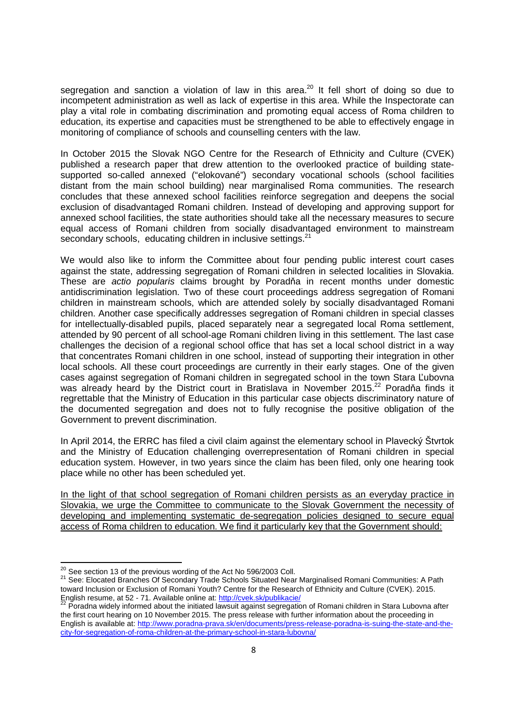segregation and sanction a violation of law in this area.<sup>20</sup> It fell short of doing so due to incompetent administration as well as lack of expertise in this area. While the Inspectorate can play a vital role in combating discrimination and promoting equal access of Roma children to education, its expertise and capacities must be strengthened to be able to effectively engage in monitoring of compliance of schools and counselling centers with the law.

In October 2015 the Slovak NGO Centre for the Research of Ethnicity and Culture (CVEK) published a research paper that drew attention to the overlooked practice of building statesupported so-called annexed ("elokované") secondary vocational schools (school facilities distant from the main school building) near marginalised Roma communities. The research concludes that these annexed school facilities reinforce segregation and deepens the social exclusion of disadvantaged Romani children. Instead of developing and approving support for annexed school facilities, the state authorities should take all the necessary measures to secure equal access of Romani children from socially disadvantaged environment to mainstream secondary schools, educating children in inclusive settings.<sup>21</sup>

We would also like to inform the Committee about four pending public interest court cases against the state, addressing segregation of Romani children in selected localities in Slovakia. These are actio popularis claims brought by Poradňa in recent months under domestic antidiscrimination legislation. Two of these court proceedings address segregation of Romani children in mainstream schools, which are attended solely by socially disadvantaged Romani children. Another case specifically addresses segregation of Romani children in special classes for intellectually-disabled pupils, placed separately near a segregated local Roma settlement, attended by 90 percent of all school-age Romani children living in this settlement. The last case challenges the decision of a regional school office that has set a local school district in a way that concentrates Romani children in one school, instead of supporting their integration in other local schools. All these court proceedings are currently in their early stages. One of the given cases against segregation of Romani children in segregated school in the town Stara Ľubovna was already heard by the District court in Bratislava in November 2015.<sup>22</sup> Poradňa finds it regrettable that the Ministry of Education in this particular case objects discriminatory nature of the documented segregation and does not to fully recognise the positive obligation of the Government to prevent discrimination.

In April 2014, the ERRC has filed a civil claim against the elementary school in Plavecký Štvrtok and the Ministry of Education challenging overrepresentation of Romani children in special education system. However, in two years since the claim has been filed, only one hearing took place while no other has been scheduled yet.

In the light of that school segregation of Romani children persists as an everyday practice in Slovakia, we urge the Committee to communicate to the Slovak Government the necessity of developing and implementing systematic de-segregation policies designed to secure equal access of Roma children to education. We find it particularly key that the Government should:

 $20$  See section 13 of the previous wording of the Act No 596/2003 Coll.

<sup>21</sup> See: Elocated Branches Of Secondary Trade Schools Situated Near Marginalised Romani Communities: A Path toward Inclusion or Exclusion of Romani Youth? Centre for the Research of Ethnicity and Culture (CVEK). 2015.

English resume, at 52 - 71. Available online at: <u>http://cvek.sk/publikacie/</u><br><sup>22</sup> Poradna widely informed about the initiated lawsuit against segregation of Romani children in Stara Lubovna after the first court hearing on 10 November 2015. The press release with further information about the proceeding in English is available at: http://www.poradna-prava.sk/en/documents/press-release-poradna-is-suing-the-state-and-thecity-for-segregation-of-roma-children-at-the-primary-school-in-stara-lubovna/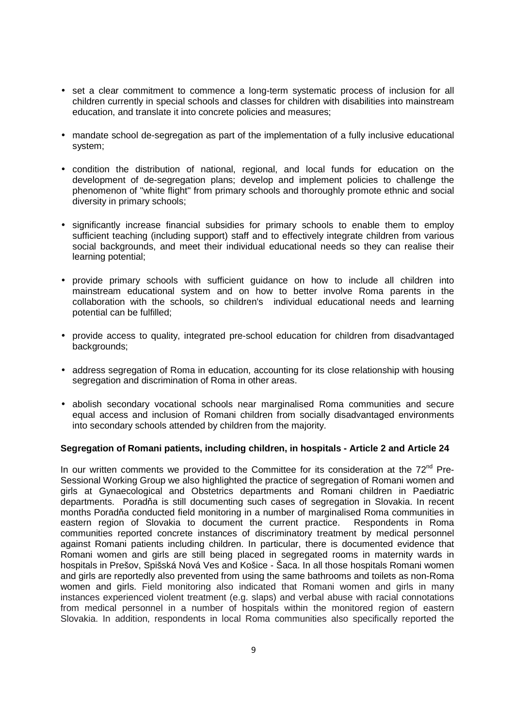- set a clear commitment to commence a long-term systematic process of inclusion for all children currently in special schools and classes for children with disabilities into mainstream education, and translate it into concrete policies and measures;
- mandate school de-segregation as part of the implementation of a fully inclusive educational system;
- condition the distribution of national, regional, and local funds for education on the development of de-segregation plans; develop and implement policies to challenge the phenomenon of "white flight" from primary schools and thoroughly promote ethnic and social diversity in primary schools;
- significantly increase financial subsidies for primary schools to enable them to employ sufficient teaching (including support) staff and to effectively integrate children from various social backgrounds, and meet their individual educational needs so they can realise their learning potential;
- provide primary schools with sufficient guidance on how to include all children into mainstream educational system and on how to better involve Roma parents in the collaboration with the schools, so children's individual educational needs and learning potential can be fulfilled;
- provide access to quality, integrated pre-school education for children from disadvantaged backgrounds;
- address segregation of Roma in education, accounting for its close relationship with housing segregation and discrimination of Roma in other areas.
- abolish secondary vocational schools near marginalised Roma communities and secure equal access and inclusion of Romani children from socially disadvantaged environments into secondary schools attended by children from the majority.

## **Segregation of Romani patients, including children, in hospitals - Article 2 and Article 24**

In our written comments we provided to the Committee for its consideration at the  $72<sup>nd</sup>$  Pre-Sessional Working Group we also highlighted the practice of segregation of Romani women and girls at Gynaecological and Obstetrics departments and Romani children in Paediatric departments. Poradňa is still documenting such cases of segregation in Slovakia. In recent months Poradňa conducted field monitoring in a number of marginalised Roma communities in eastern region of Slovakia to document the current practice. Respondents in Roma communities reported concrete instances of discriminatory treatment by medical personnel against Romani patients including children. In particular, there is documented evidence that Romani women and girls are still being placed in segregated rooms in maternity wards in hospitals in Prešov, Spišská Nová Ves and Košice - Šaca. In all those hospitals Romani women and girls are reportedly also prevented from using the same bathrooms and toilets as non-Roma women and girls. Field monitoring also indicated that Romani women and girls in many instances experienced violent treatment (e.g. slaps) and verbal abuse with racial connotations from medical personnel in a number of hospitals within the monitored region of eastern Slovakia. In addition, respondents in local Roma communities also specifically reported the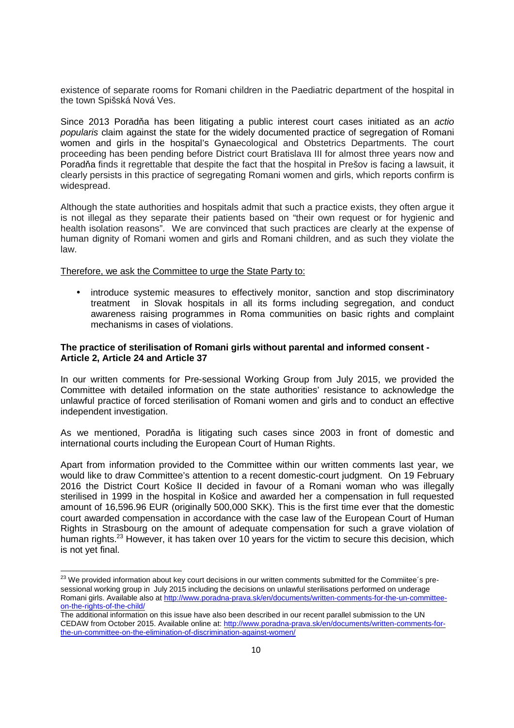existence of separate rooms for Romani children in the Paediatric department of the hospital in the town Spišská Nová Ves.

Since 2013 Poradňa has been litigating a public interest court cases initiated as an actio popularis claim against the state for the widely documented practice of segregation of Romani women and girls in the hospital's Gynaecological and Obstetrics Departments. The court proceeding has been pending before District court Bratislava III for almost three years now and Poradňa finds it regrettable that despite the fact that the hospital in Prešov is facing a lawsuit, it clearly persists in this practice of segregating Romani women and girls, which reports confirm is widespread.

Although the state authorities and hospitals admit that such a practice exists, they often argue it is not illegal as they separate their patients based on "their own request or for hygienic and health isolation reasons". We are convinced that such practices are clearly at the expense of human dignity of Romani women and girls and Romani children, and as such they violate the law.

Therefore, we ask the Committee to urge the State Party to:

 $\overline{a}$ 

• introduce systemic measures to effectively monitor, sanction and stop discriminatory treatment in Slovak hospitals in all its forms including segregation, and conduct awareness raising programmes in Roma communities on basic rights and complaint mechanisms in cases of violations.

## **The practice of sterilisation of Romani girls without parental and informed consent - Article 2, Article 24 and Article 37**

In our written comments for Pre-sessional Working Group from July 2015, we provided the Committee with detailed information on the state authorities' resistance to acknowledge the unlawful practice of forced sterilisation of Romani women and girls and to conduct an effective independent investigation.

As we mentioned, Poradňa is litigating such cases since 2003 in front of domestic and international courts including the European Court of Human Rights.

Apart from information provided to the Committee within our written comments last year, we would like to draw Committee's attention to a recent domestic-court judgment. On 19 February 2016 the District Court Košice II decided in favour of a Romani woman who was illegally sterilised in 1999 in the hospital in Košice and awarded her a compensation in full requested amount of 16,596.96 EUR (originally 500,000 SKK). This is the first time ever that the domestic court awarded compensation in accordance with the case law of the European Court of Human Rights in Strasbourg on the amount of adequate compensation for such a grave violation of human rights.<sup>23</sup> However, it has taken over 10 years for the victim to secure this decision, which is not yet final.

<sup>&</sup>lt;sup>23</sup> We provided information about key court decisions in our written comments submitted for the Commiitee's presessional working group in July 2015 including the decisions on unlawful sterilisations performed on underage Romani girls. Available also at http://www.poradna-prava.sk/en/documents/written-comments-for-the-un-committeeon-the-rights-of-the-child/

The additional information on this issue have also been described in our recent parallel submission to the UN CEDAW from October 2015. Available online at: http://www.poradna-prava.sk/en/documents/written-comments-forthe-un-committee-on-the-elimination-of-discrimination-against-women/